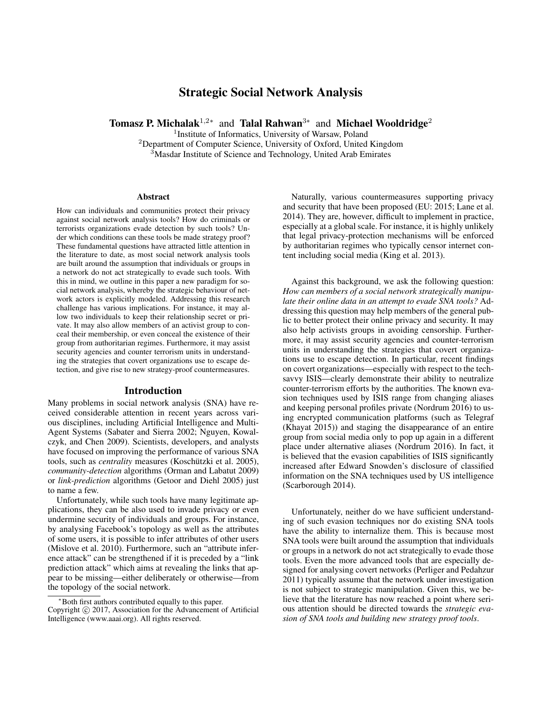# Strategic Social Network Analysis

Tomasz P. Michalak<sup>1,2\*</sup> and Talal Rahwan<sup>3\*</sup> and Michael Wooldridge<sup>2</sup>

<sup>1</sup>Institute of Informatics, University of Warsaw, Poland

 $2$ Department of Computer Science, University of Oxford, United Kingdom  $3\overline{\phantom{1}}$ Masdar Institute of Science and Technology, United Arab Emirates

#### Abstract

How can individuals and communities protect their privacy against social network analysis tools? How do criminals or terrorists organizations evade detection by such tools? Under which conditions can these tools be made strategy proof? These fundamental questions have attracted little attention in the literature to date, as most social network analysis tools are built around the assumption that individuals or groups in a network do not act strategically to evade such tools. With this in mind, we outline in this paper a new paradigm for social network analysis, whereby the strategic behaviour of network actors is explicitly modeled. Addressing this research challenge has various implications. For instance, it may allow two individuals to keep their relationship secret or private. It may also allow members of an activist group to conceal their membership, or even conceal the existence of their group from authoritarian regimes. Furthermore, it may assist security agencies and counter terrorism units in understanding the strategies that covert organizations use to escape detection, and give rise to new strategy-proof countermeasures.

#### Introduction

Many problems in social network analysis (SNA) have received considerable attention in recent years across various disciplines, including Artificial Intelligence and Multi-Agent Systems (Sabater and Sierra 2002; Nguyen, Kowalczyk, and Chen 2009). Scientists, developers, and analysts have focused on improving the performance of various SNA tools, such as *centrality* measures (Koschützki et al. 2005), *community-detection* algorithms (Orman and Labatut 2009) or *link-prediction* algorithms (Getoor and Diehl 2005) just to name a few.

Unfortunately, while such tools have many legitimate applications, they can be also used to invade privacy or even undermine security of individuals and groups. For instance, by analysing Facebook's topology as well as the attributes of some users, it is possible to infer attributes of other users (Mislove et al. 2010). Furthermore, such an "attribute inference attack" can be strengthened if it is preceded by a "link prediction attack" which aims at revealing the links that appear to be missing—either deliberately or otherwise—from the topology of the social network.

Naturally, various countermeasures supporting privacy and security that have been proposed (EU: 2015; Lane et al. 2014). They are, however, difficult to implement in practice, especially at a global scale. For instance, it is highly unlikely that legal privacy-protection mechanisms will be enforced by authoritarian regimes who typically censor internet content including social media (King et al. 2013).

Against this background, we ask the following question: *How can members of a social network strategically manipulate their online data in an attempt to evade SNA tools?* Addressing this question may help members of the general public to better protect their online privacy and security. It may also help activists groups in avoiding censorship. Furthermore, it may assist security agencies and counter-terrorism units in understanding the strategies that covert organizations use to escape detection. In particular, recent findings on covert organizations—especially with respect to the techsavvy ISIS—clearly demonstrate their ability to neutralize counter-terrorism efforts by the authorities. The known evasion techniques used by ISIS range from changing aliases and keeping personal profiles private (Nordrum 2016) to using encrypted communication platforms (such as Telegraf (Khayat 2015)) and staging the disappearance of an entire group from social media only to pop up again in a different place under alternative aliases (Nordrum 2016). In fact, it is believed that the evasion capabilities of ISIS significantly increased after Edward Snowden's disclosure of classified information on the SNA techniques used by US intelligence (Scarborough 2014).

Unfortunately, neither do we have sufficient understanding of such evasion techniques nor do existing SNA tools have the ability to internalize them. This is because most SNA tools were built around the assumption that individuals or groups in a network do not act strategically to evade those tools. Even the more advanced tools that are especially designed for analysing covert networks (Perliger and Pedahzur 2011) typically assume that the network under investigation is not subject to strategic manipulation. Given this, we believe that the literature has now reached a point where serious attention should be directed towards the *strategic evasion of SNA tools and building new strategy proof tools*.

<sup>∗</sup>Both first authors contributed equally to this paper.

Copyright © 2017, Association for the Advancement of Artificial Intelligence (www.aaai.org). All rights reserved.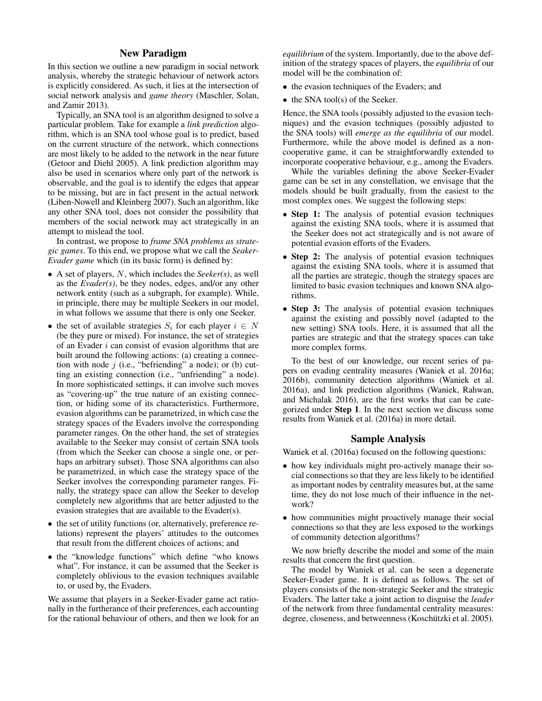## New Paradigm

In this section we outline a new paradigm in social network analysis, whereby the strategic behaviour of network actors is explicitly considered. As such, it lies at the intersection of social network analysis and *game theory* (Maschler, Solan, and Zamir 2013).

Typically, an SNA tool is an algorithm designed to solve a particular problem. Take for example a *link prediction* algorithm, which is an SNA tool whose goal is to predict, based on the current structure of the network, which connections are most likely to be added to the network in the near future (Getoor and Diehl 2005). A link prediction algorithm may also be used in scenarios where only part of the network is observable, and the goal is to identify the edges that appear to be missing, but are in fact present in the actual network (Liben-Nowell and Kleinberg 2007). Such an algorithm, like any other SNA tool, does not consider the possibility that members of the social network may act strategically in an attempt to mislead the tool.

In contrast, we propose to *frame SNA problems as strategic games*. To this end, we propose what we call the *Seaker-Evader game* which (in its basic form) is defined by:

- A set of players, N, which includes the *Seeker(s)*, as well as the *Evader(s)*, be they nodes, edges, and/or any other network entity (such as a subgraph, for example). While, in principle, there may be multiple Seekers in our model, in what follows we assume that there is only one Seeker.
- the set of available strategies  $S_i$  for each player  $i \in N$ (be they pure or mixed). For instance, the set of strategies of an Evader  $i$  can consist of evasion algorithms that are built around the following actions: (a) creating a connection with node  $j$  (i.e., "befriending" a node); or (b) cutting an existing connection (i.e., "unfriending" a node). In more sophisticated settings, it can involve such moves as "covering-up" the true nature of an existing connection, or hiding some of its characteristics. Furthermore, evasion algorithms can be parametrized, in which case the strategy spaces of the Evaders involve the corresponding parameter ranges. On the other hand, the set of strategies available to the Seeker may consist of certain SNA tools (from which the Seeker can choose a single one, or perhaps an arbitrary subset). Those SNA algorithms can also be parametrized, in which case the strategy space of the Seeker involves the corresponding parameter ranges. Finally, the strategy space can allow the Seeker to develop completely new algorithms that are better adjusted to the evasion strategies that are available to the Evader(s).
- the set of utility functions (or, alternatively, preference relations) represent the players' attitudes to the outcomes that result from the different choices of actions; and
- the "knowledge functions" which define "who knows what". For instance, it can be assumed that the Seeker is completely oblivious to the evasion techniques available to, or used by, the Evaders.

We assume that players in a Seeker-Evader game act rationally in the furtherance of their preferences, each accounting for the rational behaviour of others, and then we look for an *equilibrium* of the system. Importantly, due to the above definition of the strategy spaces of players, the *equilibria* of our model will be the combination of:

- the evasion techniques of the Evaders; and
- the SNA tool(s) of the Seeker.

Hence, the SNA tools (possibly adjusted to the evasion techniques) and the evasion techniques (possibly adjusted to the SNA tools) will *emerge as the equilibria* of our model. Furthermore, while the above model is defined as a noncooperative game, it can be straightforwardly extended to incorporate cooperative behaviour, e.g., among the Evaders.

While the variables defining the above Seeker-Evader game can be set in any constellation, we envisage that the models should be built gradually, from the easiest to the most complex ones. We suggest the following steps:

- Step 1: The analysis of potential evasion techniques against the existing SNA tools, where it is assumed that the Seeker does not act strategically and is not aware of potential evasion efforts of the Evaders.
- Step 2: The analysis of potential evasion techniques against the existing SNA tools, where it is assumed that all the parties are strategic, though the strategy spaces are limited to basic evasion techniques and known SNA algorithms.
- Step 3: The analysis of potential evasion techniques against the existing and possibly novel (adapted to the new setting) SNA tools. Here, it is assumed that all the parties are strategic and that the strategy spaces can take more complex forms.

To the best of our knowledge, our recent series of papers on evading centrality measures (Waniek et al. 2016a; 2016b), community detection algorithms (Waniek et al. 2016a), and link prediction algorithms (Waniek, Rahwan, and Michalak 2016), are the first works that can be categorized under Step 1. In the next section we discuss some results from Waniek et al. (2016a) in more detail.

### Sample Analysis

Waniek et al. (2016a) focused on the following questions:

- how key individuals might pro-actively manage their social connections so that they are less likely to be identified as important nodes by centrality measures but, at the same time, they do not lose much of their influence in the network?
- how communities might proactively manage their social connections so that they are less exposed to the workings of community detection algorithms?

We now briefly describe the model and some of the main results that concern the first question.

The model by Waniek et al. can be seen a degenerate Seeker-Evader game. It is defined as follows. The set of players consists of the non-strategic Seeker and the strategic Evaders. The latter take a joint action to disguise the *leader* of the network from three fundamental centrality measures: degree, closeness, and betweenness (Koschützki et al. 2005).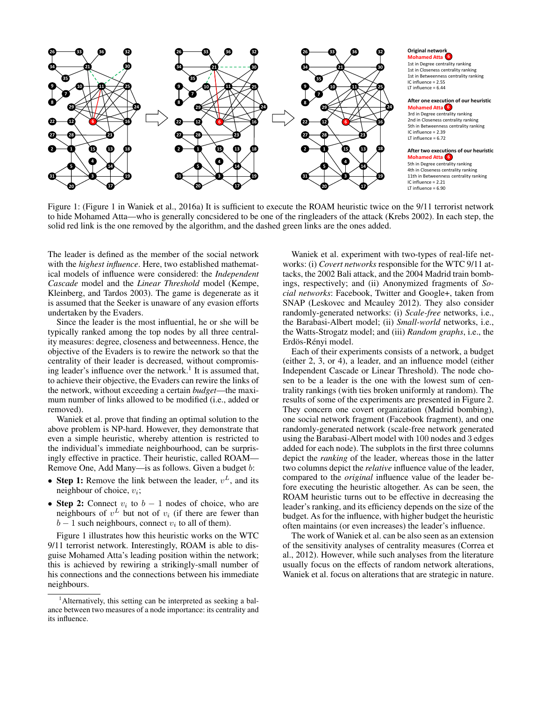

#### **6 Mohamed Atta Original network** 1st in Degree centrality ranking 1st in Closeness centrality ranking

1st in Betweenness centrality ranking IC influence = 2.55 LT influence = 6.44

#### **6 Mohamed Atta After one execution of our heuristic**

3rd in Degree centrality ranking 2nd in Closeness centrality ranking End in Betweenness centrality ranning IC influence = 2.39 LT influence = 6.72

**6 Mohamed Atta After two executions of our heuristic** 5th in Degree centrality ranking 4th in Closeness centrality ranking 11th in Betweenness centrality ranking IC influence = 2.21 LT influence = 6.90

Figure 1: (Figure 1 in Waniek et al., 2016a) It is sufficient to execute the ROAM heuristic twice on the 9/11 terrorist network to hide Mohamed Atta—who is generally concsidered to be one of the ringleaders of the attack (Krebs 2002). In each step, the solid red link is the one removed by the algorithm, and the dashed green links are the ones added.

The leader is defined as the member of the social network with the *highest influence*. Here, two established mathematical models of influence were considered: the *Independent Cascade* model and the *Linear Threshold* model (Kempe, Kleinberg, and Tardos 2003). The game is degenerate as it is assumed that the Seeker is unaware of any evasion efforts undertaken by the Evaders.

Since the leader is the most influential, he or she will be typically ranked among the top nodes by all three centrality measures: degree, closeness and betweenness. Hence, the objective of the Evaders is to rewire the network so that the centrality of their leader is decreased, without compromising leader's influence over the network.<sup>1</sup> It is assumed that, to achieve their objective, the Evaders can rewire the links of the network, without exceeding a certain *budget*—the maximum number of links allowed to be modified (i.e., added or removed).

Waniek et al. prove that finding an optimal solution to the above problem is NP-hard. However, they demonstrate that even a simple heuristic, whereby attention is restricted to the individual's immediate neighbourhood, can be surprisingly effective in practice. Their heuristic, called ROAM— Remove One, Add Many—is as follows. Given a budget b:

- Step 1: Remove the link between the leader,  $v^L$ , and its neighbour of choice,  $v_i$ ;
- Step 2: Connect  $v_i$  to  $b-1$  nodes of choice, who are neighbours of  $v^L$  but not of  $v_i$  (if there are fewer than  $b-1$  such neighbours, connect  $v_i$  to all of them).

Figure 1 illustrates how this heuristic works on the WTC 9/11 terrorist network. Interestingly, ROAM is able to disguise Mohamed Atta's leading position within the network; this is achieved by rewiring a strikingly-small number of his connections and the connections between his immediate neighbours.

Waniek et al. experiment with two-types of real-life networks: (i) *Covert networks* responsible for the WTC 9/11 attacks, the 2002 Bali attack, and the 2004 Madrid train bombings, respectively; and (ii) Anonymized fragments of *Social networks*: Facebook, Twitter and Google+, taken from SNAP (Leskovec and Mcauley 2012). They also consider randomly-generated networks: (i) *Scale-free* networks, i.e., the Barabasi-Albert model; (ii) *Small-world* networks, i.e., the Watts-Strogatz model; and (iii) *Random graphs*, i.e., the Erdös-Rényi model.

Each of their experiments consists of a network, a budget (either 2, 3, or 4), a leader, and an influence model (either Independent Cascade or Linear Threshold). The node chosen to be a leader is the one with the lowest sum of centrality rankings (with ties broken uniformly at random). The results of some of the experiments are presented in Figure 2. They concern one covert organization (Madrid bombing), one social network fragment (Facebook fragment), and one randomly-generated network (scale-free network generated using the Barabasi-Albert model with 100 nodes and 3 edges added for each node). The subplots in the first three columns depict the *ranking* of the leader, whereas those in the latter two columns depict the *relative* influence value of the leader, compared to the *original* influence value of the leader before executing the heuristic altogether. As can be seen, the ROAM heuristic turns out to be effective in decreasing the leader's ranking, and its efficiency depends on the size of the budget. As for the influence, with higher budget the heuristic often maintains (or even increases) the leader's influence.

The work of Waniek et al. can be also seen as an extension of the sensitivity analyses of centrality measures (Correa et al., 2012). However, while such analyses from the literature usually focus on the effects of random network alterations, Waniek et al. focus on alterations that are strategic in nature.

<sup>&</sup>lt;sup>1</sup> Alternatively, this setting can be interpreted as seeking a balance between two measures of a node importance: its centrality and its influence.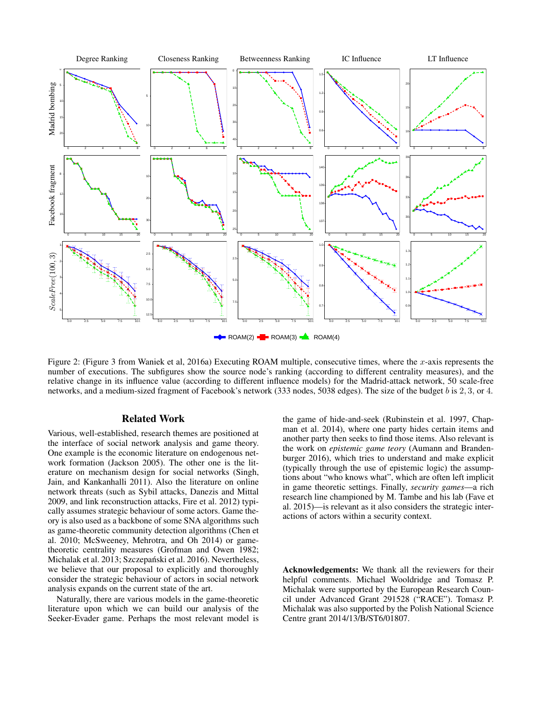

Figure 2: (Figure 3 from Waniek et al, 2016a) Executing ROAM multiple, consecutive times, where the x-axis represents the number of executions. The subfigures show the source node's ranking (according to different centrality measures), and the relative change in its influence value (according to different influence models) for the Madrid-attack network, 50 scale-free networks, and a medium-sized fragment of Facebook's network (333 nodes, 5038 edges). The size of the budget b is 2, 3, or 4.

## Related Work

Various, well-established, research themes are positioned at the interface of social network analysis and game theory. One example is the economic literature on endogenous network formation (Jackson 2005). The other one is the literature on mechanism design for social networks (Singh, Jain, and Kankanhalli 2011). Also the literature on online network threats (such as Sybil attacks, Danezis and Mittal 2009, and link reconstruction attacks, Fire et al. 2012) typically assumes strategic behaviour of some actors. Game theory is also used as a backbone of some SNA algorithms such as game-theoretic community detection algorithms (Chen et al. 2010; McSweeney, Mehrotra, and Oh 2014) or gametheoretic centrality measures (Grofman and Owen 1982; Michalak et al. 2013; Szczepański et al. 2016). Nevertheless, we believe that our proposal to explicitly and thoroughly consider the strategic behaviour of actors in social network analysis expands on the current state of the art.

Naturally, there are various models in the game-theoretic literature upon which we can build our analysis of the Seeker-Evader game. Perhaps the most relevant model is

the game of hide-and-seek (Rubinstein et al. 1997, Chapman et al. 2014), where one party hides certain items and another party then seeks to find those items. Also relevant is the work on *epistemic game teory* (Aumann and Brandenburger 2016), which tries to understand and make explicit (typically through the use of epistemic logic) the assumptions about "who knows what", which are often left implicit in game theoretic settings. Finally, *security games*—a rich research line championed by M. Tambe and his lab (Fave et al. 2015)—is relevant as it also considers the strategic interactions of actors within a security context.

Acknowledgements: We thank all the reviewers for their helpful comments. Michael Wooldridge and Tomasz P. Michalak were supported by the European Research Council under Advanced Grant 291528 ("RACE"). Tomasz P. Michalak was also supported by the Polish National Science Centre grant 2014/13/B/ST6/01807.